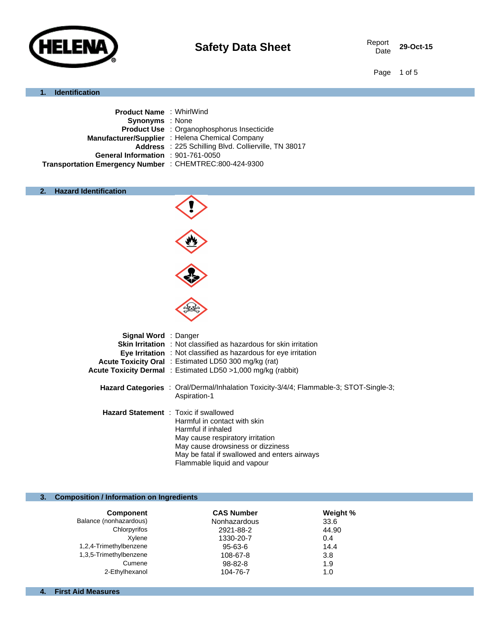

29-Oct-15

Page 1 of 5

#### **1. Identification**

| <b>Product Name: WhirlWind</b>                          |                                                      |
|---------------------------------------------------------|------------------------------------------------------|
| <b>Synonyms</b> : None                                  |                                                      |
|                                                         | <b>Product Use : Organophosphorus Insecticide</b>    |
|                                                         | Manufacturer/Supplier : Helena Chemical Company      |
|                                                         | Address : 225 Schilling Blvd. Collierville, TN 38017 |
| General Information : 901-761-0050                      |                                                      |
| Transportation Emergency Number : CHEMTREC:800-424-9300 |                                                      |
|                                                         |                                                      |

# **2. Hazard Identification**



#### **3. Composition / Information on Ingredients**

| <b>Component</b>       | <b>CAS Number</b> | Weight % |
|------------------------|-------------------|----------|
| Balance (nonhazardous) | Nonhazardous      | 33.6     |
| Chlorpyrifos           | 2921-88-2         | 44.90    |
| Xvlene                 | 1330-20-7         | 0.4      |
| 1,2,4-Trimethylbenzene | $95 - 63 - 6$     | 14.4     |
| 1,3,5-Trimethylbenzene | 108-67-8          | 3.8      |
| Cumene                 | 98-82-8           | 1.9      |
| 2-Ethylhexanol         | 104-76-7          | 1.0      |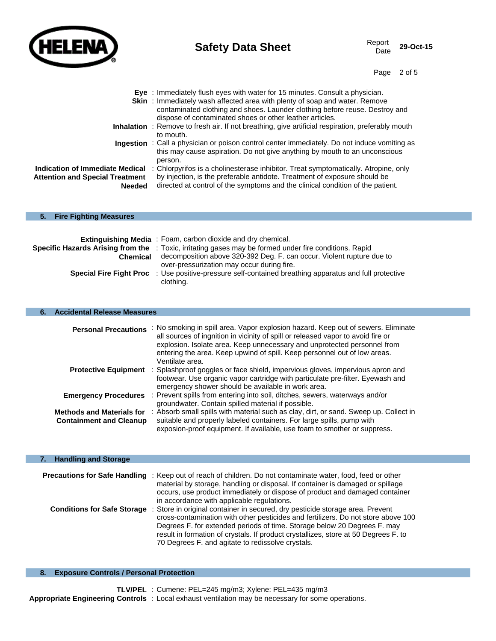

ı

# **Safety Data Sheet** Report Report

29-Oct-15

Page 2 of 5

|                                        | <b>Eye</b> : Immediately flush eyes with water for 15 minutes. Consult a physician.<br><b>Skin</b> : Immediately wash affected area with plenty of soap and water. Remove<br>contaminated clothing and shoes. Launder clothing before reuse. Destroy and<br>dispose of contaminated shoes or other leather articles. |
|----------------------------------------|----------------------------------------------------------------------------------------------------------------------------------------------------------------------------------------------------------------------------------------------------------------------------------------------------------------------|
|                                        | Inhalation : Remove to fresh air. If not breathing, give artificial respiration, preferably mouth<br>to mouth.                                                                                                                                                                                                       |
|                                        | <b>Ingestion</b> : Call a physician or poison control center immediately. Do not induce vomiting as<br>this may cause aspiration. Do not give anything by mouth to an unconscious<br>person.                                                                                                                         |
| Indication of Immediate Medical        | : Chlorpyrifos is a cholinesterase inhibitor. Treat symptomatically. Atropine, only                                                                                                                                                                                                                                  |
| <b>Attention and Special Treatment</b> | by injection, is the preferable antidote. Treatment of exposure should be                                                                                                                                                                                                                                            |
| Needed                                 | directed at control of the symptoms and the clinical condition of the patient.                                                                                                                                                                                                                                       |
| 5.<br><b>Fire Fighting Measures</b>    |                                                                                                                                                                                                                                                                                                                      |
|                                        |                                                                                                                                                                                                                                                                                                                      |

|                                | <b>Extinguishing Media</b> : Foam, carbon dioxide and dry chemical.                                           |
|--------------------------------|---------------------------------------------------------------------------------------------------------------|
|                                | <b>Specific Hazards Arising from the</b> : Toxic, irritating gases may be formed under fire conditions. Rapid |
| Chemical                       | decomposition above 320-392 Deg. F. can occur. Violent rupture due to                                         |
|                                | over-pressurization may occur during fire.                                                                    |
| <b>Special Fire Fight Proc</b> | : Use positive-pressure self-contained breathing apparatus and full protective<br>clothing.                   |

### **6. Accidental Release Measures**

| <b>Personal Precautions</b>                                        | : No smoking in spill area. Vapor explosion hazard. Keep out of sewers. Eliminate<br>all sources of ingnition in vicinity of spill or released vapor to avoid fire or<br>explosion. Isolate area. Keep unnecessary and unprotected personnel from<br>entering the area. Keep upwind of spill. Keep personnel out of low areas.<br>Ventilate area. |
|--------------------------------------------------------------------|---------------------------------------------------------------------------------------------------------------------------------------------------------------------------------------------------------------------------------------------------------------------------------------------------------------------------------------------------|
| <b>Protective Equipment</b>                                        | : Splashproof goggles or face shield, impervious gloves, impervious apron and<br>footwear. Use organic vapor cartridge with particulate pre-filter. Eyewash and<br>emergency shower should be available in work area.                                                                                                                             |
| <b>Emergency Procedures</b>                                        | : Prevent spills from entering into soil, ditches, sewers, waterways and/or<br>groundwater. Contain spilled material if possible.                                                                                                                                                                                                                 |
| <b>Methods and Materials for</b><br><b>Containment and Cleanup</b> | : Absorb small spills with material such as clay, dirt, or sand. Sweep up. Collect in<br>suitable and properly labeled containers. For large spills, pump with<br>exposion-proof equipment. If available, use foam to smother or suppress.                                                                                                        |

| <b>Handling and Storage</b>          |                                                                                                                                                                                                                                                                                                                                                                                          |
|--------------------------------------|------------------------------------------------------------------------------------------------------------------------------------------------------------------------------------------------------------------------------------------------------------------------------------------------------------------------------------------------------------------------------------------|
|                                      |                                                                                                                                                                                                                                                                                                                                                                                          |
| <b>Precautions for Safe Handling</b> | : Keep out of reach of children. Do not contaminate water, food, feed or other<br>material by storage, handling or disposal. If container is damaged or spillage<br>occurs, use product immediately or dispose of product and damaged container<br>in accordance with applicable regulations.                                                                                            |
| <b>Conditions for Safe Storage</b>   | Store in original container in secured, dry pesticide storage area. Prevent<br>cross-contamination with other pesticides and fertilizers. Do not store above 100<br>Degrees F. for extended periods of time. Storage below 20 Degrees F. may<br>result in formation of crystals. If product crystallizes, store at 50 Degrees F. to<br>70 Degrees F. and agitate to redissolve crystals. |

### **8. Exposure Controls / Personal Protection**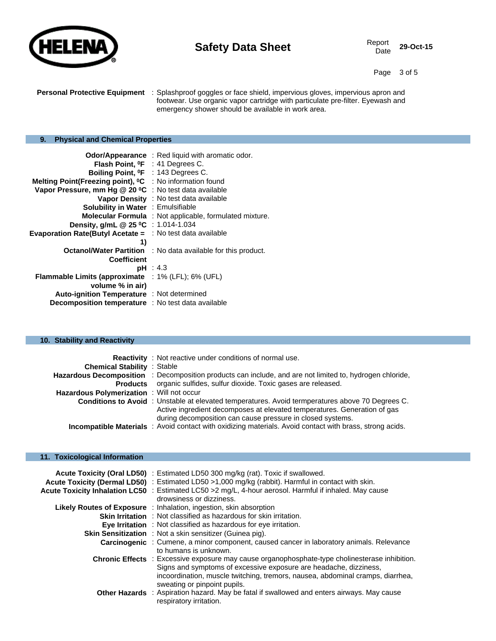

29-Oct-15

Page 3 of 5

**Personal Protective Equipment** : Splashproof goggles or face shield, impervious gloves, impervious apron and footwear. Use organic vapor cartridge with particulate pre-filter. Eyewash and emergency shower should be available in work area.

# **9. Physical and Chemical Properties**

| Odor/Appearance                                                              | : Red liquid with aromatic odor.                               |
|------------------------------------------------------------------------------|----------------------------------------------------------------|
| <b>Flash Point, ºF</b> : 41 Degrees C.                                       |                                                                |
| Boiling Point, <sup>o</sup> F : 143 Degrees C.                               |                                                                |
| Melting Point(Freezing point), <sup>o</sup> C : No information found         |                                                                |
| Vapor Pressure, mm Hg @ 20 °C : No test data available                       |                                                                |
|                                                                              | Vapor Density : No test data available                         |
| <b>Solubility in Water : Emulsifiable</b>                                    |                                                                |
|                                                                              | <b>Molecular Formula</b> : Not applicable, formulated mixture. |
| Density, g/mL @ 25 °C : 1.014-1.034                                          |                                                                |
| <b>Evaporation Rate(Butyl Acetate <math>=</math>: No test data available</b> |                                                                |
| 1)                                                                           |                                                                |
| <b>Octanol/Water Partition</b>                                               | : No data available for this product.                          |
| <b>Coefficient</b>                                                           |                                                                |
|                                                                              | pH : 4.3                                                       |
| <b>Flammable Limits (approximate</b>                                         | $: 1\%$ (LFL); 6% (UFL)                                        |
| volume % in air)                                                             |                                                                |
| Auto-ignition Temperature : Not determined                                   |                                                                |
| <b>Decomposition temperature</b> : No test data available                    |                                                                |

#### **10. Stability and Reactivity**

| <b>Chemical Stability : Stable</b>               | <b>Reactivity</b> : Not reactive under conditions of normal use.                                                                                                                                                                          |
|--------------------------------------------------|-------------------------------------------------------------------------------------------------------------------------------------------------------------------------------------------------------------------------------------------|
|                                                  | Hazardous Decomposition : Decomposition products can include, and are not limited to, hydrogen chloride,                                                                                                                                  |
| <b>Products</b>                                  | organic sulfides, sulfur dioxide. Toxic gases are released.                                                                                                                                                                               |
| <b>Hazardous Polymerization</b> : Will not occur |                                                                                                                                                                                                                                           |
|                                                  | Conditions to Avoid: Unstable at elevated temperatures. Avoid termperatures above 70 Degrees C.<br>Active ingredient decomposes at elevated temperatures. Generation of gas<br>during decomposition can cause pressure in closed systems. |
|                                                  | Incompatible Materials : Avoid contact with oxidizing materials. Avoid contact with brass, strong acids.                                                                                                                                  |

### **11. Toxicological Information**

| Acute Toxicity (Oral LD50) : Estimated LD50 300 mg/kg (rat). Toxic if swallowed.<br>Acute Toxicity (Dermal LD50) : Estimated LD50 >1,000 mg/kg (rabbit). Harmful in contact with skin.<br>Acute Toxicity Inhalation LC50 : Estimated LC50 > 2 mg/L, 4-hour aerosol. Harmful if inhaled. May cause<br>drowsiness or dizziness. |
|-------------------------------------------------------------------------------------------------------------------------------------------------------------------------------------------------------------------------------------------------------------------------------------------------------------------------------|
| <b>Likely Routes of Exposure</b> : Inhalation, ingestion, skin absorption                                                                                                                                                                                                                                                     |
| <b>Skin Irritation</b> : Not classified as hazardous for skin irritation.                                                                                                                                                                                                                                                     |
| <b>Eve Irritation</b> : Not classified as hazardous for eye irritation.                                                                                                                                                                                                                                                       |
| <b>Skin Sensitization</b> : Not a skin sensitizer (Guinea pig).                                                                                                                                                                                                                                                               |
| <b>Carcinogenic</b> : Cumene, a minor component, caused cancer in laboratory animals. Relevance<br>to humans is unknown.                                                                                                                                                                                                      |
| Chronic Effects : Excessive exposure may cause organophosphate-type cholinesterase inhibition.<br>Signs and symptoms of excessive exposure are headache, dizziness,<br>incoordination, muscle twitching, tremors, nausea, abdominal cramps, diarrhea,<br>sweating or pinpoint pupils.                                         |
| <b>Other Hazards</b> : Aspiration hazard. May be fatal if swallowed and enters airways. May cause<br>respiratory irritation.                                                                                                                                                                                                  |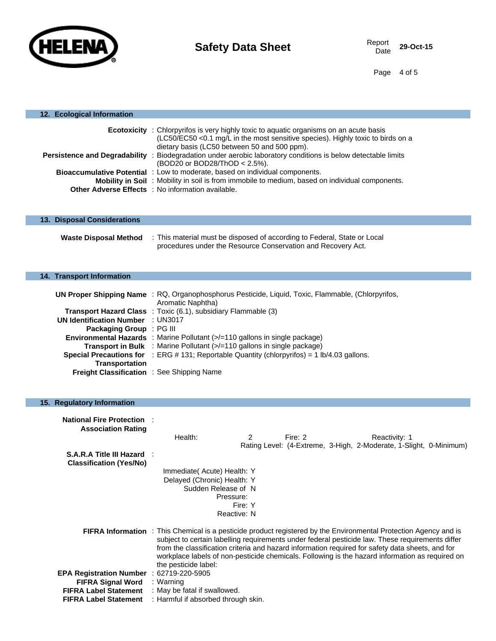

Page 4 of 5

| 12. Ecological Information                                           |                                                                                                                                                                                                                                                                                                                                                                                                                                                      |  |
|----------------------------------------------------------------------|------------------------------------------------------------------------------------------------------------------------------------------------------------------------------------------------------------------------------------------------------------------------------------------------------------------------------------------------------------------------------------------------------------------------------------------------------|--|
|                                                                      | <b>Ecotoxicity</b> : Chlorpyrifos is very highly toxic to aquatic organisms on an acute basis<br>(LC50/EC50 < 0.1 mg/L in the most sensitive species). Highly toxic to birds on a<br>dietary basis (LC50 between 50 and 500 ppm).                                                                                                                                                                                                                    |  |
|                                                                      | Persistence and Degradability : Biodegradation under aerobic laboratory conditions is below detectable limits<br>(BOD20 or BOD28/ThOD < 2.5%).                                                                                                                                                                                                                                                                                                       |  |
|                                                                      | Bioaccumulative Potential : Low to moderate, based on individual components.                                                                                                                                                                                                                                                                                                                                                                         |  |
|                                                                      | Mobility in Soil: Mobility in soil is from immobile to medium, based on individual components.<br>Other Adverse Effects : No information available.                                                                                                                                                                                                                                                                                                  |  |
|                                                                      |                                                                                                                                                                                                                                                                                                                                                                                                                                                      |  |
| 13. Disposal Considerations                                          |                                                                                                                                                                                                                                                                                                                                                                                                                                                      |  |
| <b>Waste Disposal Method</b>                                         | : This material must be disposed of according to Federal, State or Local<br>procedures under the Resource Conservation and Recovery Act.                                                                                                                                                                                                                                                                                                             |  |
| 14. Transport Information                                            |                                                                                                                                                                                                                                                                                                                                                                                                                                                      |  |
|                                                                      |                                                                                                                                                                                                                                                                                                                                                                                                                                                      |  |
|                                                                      | UN Proper Shipping Name : RQ, Organophosphorus Pesticide, Liquid, Toxic, Flammable, (Chlorpyrifos,<br>Aromatic Naphtha)                                                                                                                                                                                                                                                                                                                              |  |
|                                                                      | <b>Transport Hazard Class</b> : Toxic (6.1), subsidiary Flammable (3)                                                                                                                                                                                                                                                                                                                                                                                |  |
| <b>UN Identification Number : UN3017</b><br>Packaging Group : PG III |                                                                                                                                                                                                                                                                                                                                                                                                                                                      |  |
|                                                                      | <b>Environmental Hazards</b> : Marine Pollutant (>/=110 gallons in single package)                                                                                                                                                                                                                                                                                                                                                                   |  |
|                                                                      | <b>Transport in Bulk</b> : Marine Pollutant (>/=110 gallons in single package)                                                                                                                                                                                                                                                                                                                                                                       |  |
| <b>Transportation</b>                                                | <b>Special Precautions for</b> : ERG # 131; Reportable Quantity (chlorpyrifos) = $1$ lb/4.03 gallons.                                                                                                                                                                                                                                                                                                                                                |  |
| Freight Classification : See Shipping Name                           |                                                                                                                                                                                                                                                                                                                                                                                                                                                      |  |
|                                                                      |                                                                                                                                                                                                                                                                                                                                                                                                                                                      |  |
| 15. Regulatory Information                                           |                                                                                                                                                                                                                                                                                                                                                                                                                                                      |  |
| <b>National Fire Protection :</b><br><b>Association Rating</b>       |                                                                                                                                                                                                                                                                                                                                                                                                                                                      |  |
|                                                                      | Health:<br>2<br>Fire: $2$<br>Reactivity: 1                                                                                                                                                                                                                                                                                                                                                                                                           |  |
| S.A.R.A Title III Hazard :                                           | Rating Level: (4-Extreme, 3-High, 2-Moderate, 1-Slight, 0-Minimum)                                                                                                                                                                                                                                                                                                                                                                                   |  |
| <b>Classification (Yes/No)</b>                                       |                                                                                                                                                                                                                                                                                                                                                                                                                                                      |  |
|                                                                      | Immediate (Acute) Health: Y<br>Delayed (Chronic) Health: Y                                                                                                                                                                                                                                                                                                                                                                                           |  |
|                                                                      | Sudden Release of N                                                                                                                                                                                                                                                                                                                                                                                                                                  |  |
|                                                                      | Pressure:                                                                                                                                                                                                                                                                                                                                                                                                                                            |  |
|                                                                      | Fire: Y<br>Reactive: N                                                                                                                                                                                                                                                                                                                                                                                                                               |  |
|                                                                      |                                                                                                                                                                                                                                                                                                                                                                                                                                                      |  |
|                                                                      | FIFRA Information : This Chemical is a pesticide product registered by the Environmental Protection Agency and is<br>subject to certain labelling requirements under federal pesticide law. These requirements differ<br>from the classification criteria and hazard information required for safety data sheets, and for<br>workplace labels of non-pesticide chemicals. Following is the hazard information as required on<br>the pesticide label: |  |
| EPA Registration Number : 62719-220-5905                             |                                                                                                                                                                                                                                                                                                                                                                                                                                                      |  |
| <b>FIFRA Signal Word</b><br><b>FIFRA Label Statement</b>             | : Warning<br>: May be fatal if swallowed.                                                                                                                                                                                                                                                                                                                                                                                                            |  |
| <b>FIFRA Label Statement</b>                                         | : Harmful if absorbed through skin.                                                                                                                                                                                                                                                                                                                                                                                                                  |  |